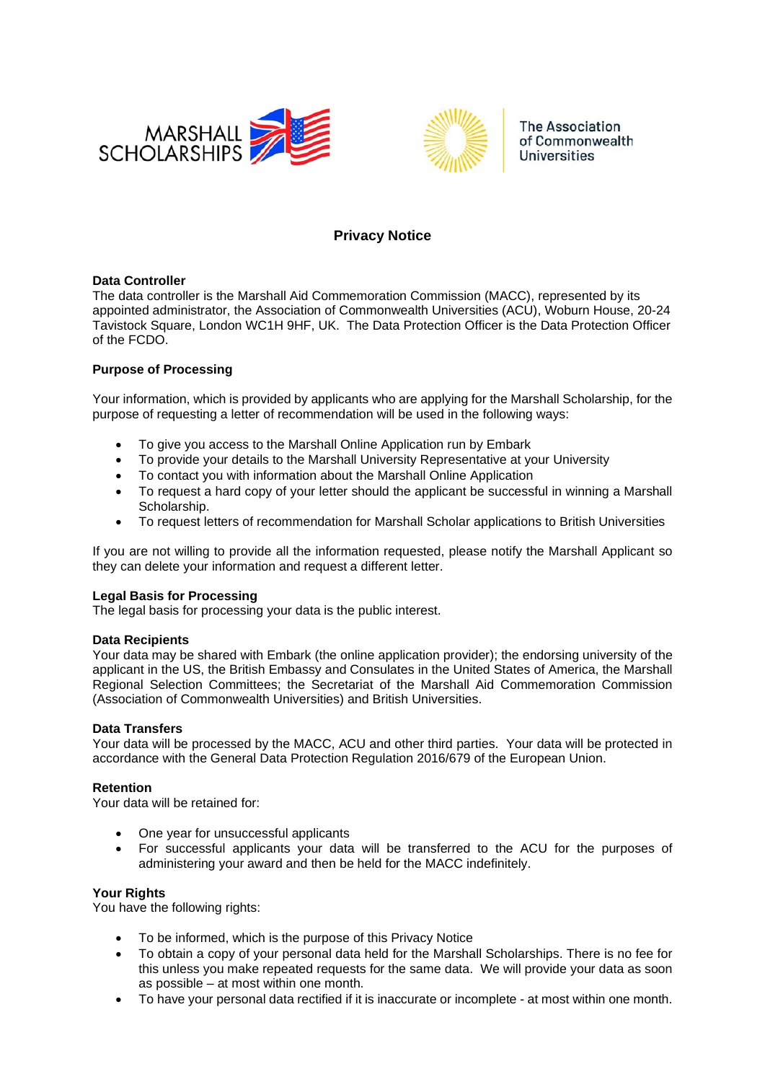



**The Association** of Commonwealth **Universities** 

# **Privacy Notice**

### **Data Controller**

The data controller is the Marshall Aid Commemoration Commission (MACC), represented by its appointed administrator, the Association of Commonwealth Universities (ACU), Woburn House, 20-24 Tavistock Square, London WC1H 9HF, UK. The Data Protection Officer is the Data Protection Officer of the FCDO.

### **Purpose of Processing**

Your information, which is provided by applicants who are applying for the Marshall Scholarship, for the purpose of requesting a letter of recommendation will be used in the following ways:

- To give you access to the Marshall Online Application run by Embark
- To provide your details to the Marshall University Representative at your University
- To contact you with information about the Marshall Online Application
- To request a hard copy of your letter should the applicant be successful in winning a Marshall Scholarship.
- To request letters of recommendation for Marshall Scholar applications to British Universities

If you are not willing to provide all the information requested, please notify the Marshall Applicant so they can delete your information and request a different letter.

#### **Legal Basis for Processing**

The legal basis for processing your data is the public interest.

#### **Data Recipients**

Your data may be shared with Embark (the online application provider); the endorsing university of the applicant in the US, the British Embassy and Consulates in the United States of America, the Marshall Regional Selection Committees; the Secretariat of the Marshall Aid Commemoration Commission (Association of Commonwealth Universities) and British Universities.

# **Data Transfers**

Your data will be processed by the MACC, ACU and other third parties. Your data will be protected in accordance with the General Data Protection Regulation 2016/679 of the European Union.

# **Retention**

Your data will be retained for:

- One year for unsuccessful applicants
- For successful applicants your data will be transferred to the ACU for the purposes of administering your award and then be held for the MACC indefinitely.

#### **Your Rights**

You have the following rights:

- To be informed, which is the purpose of this Privacy Notice
- To obtain a copy of your personal data held for the Marshall Scholarships. There is no fee for this unless you make repeated requests for the same data. We will provide your data as soon as possible – at most within one month.
- To have your personal data rectified if it is inaccurate or incomplete at most within one month.